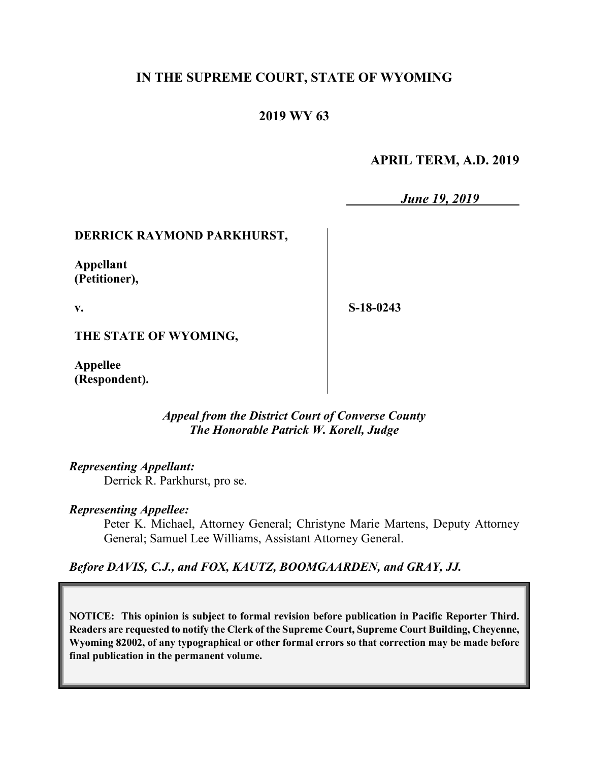# **IN THE SUPREME COURT, STATE OF WYOMING**

# **2019 WY 63**

## **APRIL TERM, A.D. 2019**

*June 19, 2019*

**DERRICK RAYMOND PARKHURST,**

**Appellant (Petitioner),**

**v.**

**S-18-0243**

**THE STATE OF WYOMING,**

**Appellee (Respondent).**

> *Appeal from the District Court of Converse County The Honorable Patrick W. Korell, Judge*

*Representing Appellant:*

Derrick R. Parkhurst, pro se.

## *Representing Appellee:*

Peter K. Michael, Attorney General; Christyne Marie Martens, Deputy Attorney General; Samuel Lee Williams, Assistant Attorney General.

*Before DAVIS, C.J., and FOX, KAUTZ, BOOMGAARDEN, and GRAY, JJ.*

**NOTICE: This opinion is subject to formal revision before publication in Pacific Reporter Third. Readers are requested to notify the Clerk of the Supreme Court, Supreme Court Building, Cheyenne, Wyoming 82002, of any typographical or other formal errors so that correction may be made before final publication in the permanent volume.**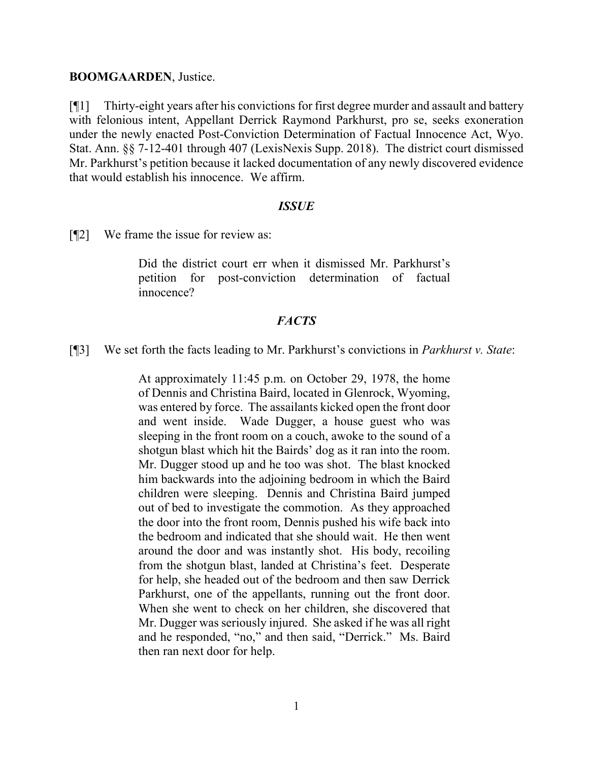#### **BOOMGAARDEN**, Justice.

[¶1] Thirty-eight years after his convictions for first degree murder and assault and battery with felonious intent, Appellant Derrick Raymond Parkhurst, pro se, seeks exoneration under the newly enacted Post-Conviction Determination of Factual Innocence Act, Wyo. Stat. Ann. §§ 7-12-401 through 407 (LexisNexis Supp. 2018). The district court dismissed Mr. Parkhurst's petition because it lacked documentation of any newly discovered evidence that would establish his innocence. We affirm.

#### *ISSUE*

[¶2] We frame the issue for review as:

Did the district court err when it dismissed Mr. Parkhurst's petition for post-conviction determination of factual innocence?

## *FACTS*

[¶3] We set forth the facts leading to Mr. Parkhurst's convictions in *Parkhurst v. State*:

At approximately 11:45 p.m. on October 29, 1978, the home of Dennis and Christina Baird, located in Glenrock, Wyoming, was entered by force. The assailants kicked open the front door and went inside. Wade Dugger, a house guest who was sleeping in the front room on a couch, awoke to the sound of a shotgun blast which hit the Bairds' dog as it ran into the room. Mr. Dugger stood up and he too was shot. The blast knocked him backwards into the adjoining bedroom in which the Baird children were sleeping. Dennis and Christina Baird jumped out of bed to investigate the commotion. As they approached the door into the front room, Dennis pushed his wife back into the bedroom and indicated that she should wait. He then went around the door and was instantly shot. His body, recoiling from the shotgun blast, landed at Christina's feet. Desperate for help, she headed out of the bedroom and then saw Derrick Parkhurst, one of the appellants, running out the front door. When she went to check on her children, she discovered that Mr. Dugger was seriously injured. She asked if he was all right and he responded, "no," and then said, "Derrick." Ms. Baird then ran next door for help.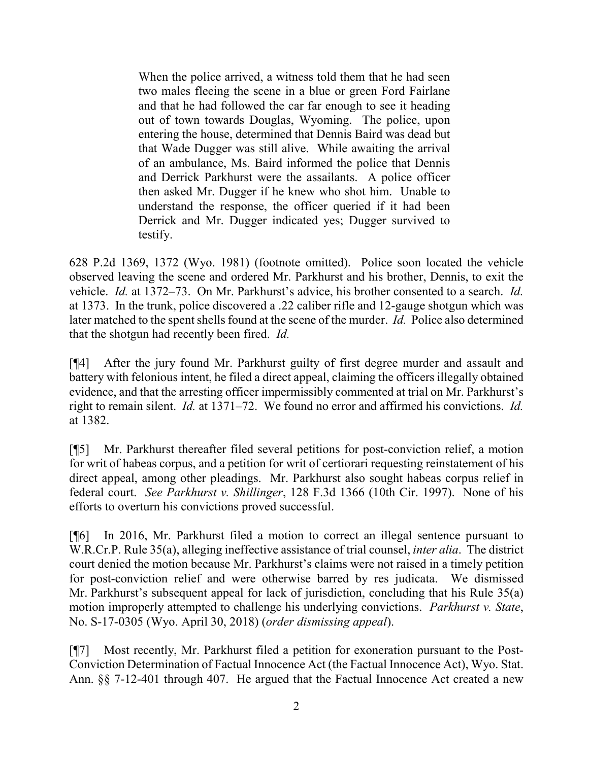When the police arrived, a witness told them that he had seen two males fleeing the scene in a blue or green Ford Fairlane and that he had followed the car far enough to see it heading out of town towards Douglas, Wyoming. The police, upon entering the house, determined that Dennis Baird was dead but that Wade Dugger was still alive. While awaiting the arrival of an ambulance, Ms. Baird informed the police that Dennis and Derrick Parkhurst were the assailants. A police officer then asked Mr. Dugger if he knew who shot him. Unable to understand the response, the officer queried if it had been Derrick and Mr. Dugger indicated yes; Dugger survived to testify.

628 P.2d 1369, 1372 (Wyo. 1981) (footnote omitted). Police soon located the vehicle observed leaving the scene and ordered Mr. Parkhurst and his brother, Dennis, to exit the vehicle. *Id.* at 1372–73. On Mr. Parkhurst's advice, his brother consented to a search. *Id.* at 1373. In the trunk, police discovered a .22 caliber rifle and 12-gauge shotgun which was later matched to the spent shells found at the scene of the murder. *Id.* Police also determined that the shotgun had recently been fired. *Id.*

[¶4] After the jury found Mr. Parkhurst guilty of first degree murder and assault and battery with felonious intent, he filed a direct appeal, claiming the officers illegally obtained evidence, and that the arresting officer impermissibly commented at trial on Mr. Parkhurst's right to remain silent. *Id.* at 1371–72. We found no error and affirmed his convictions. *Id.* at 1382.

[¶5] Mr. Parkhurst thereafter filed several petitions for post-conviction relief, a motion for writ of habeas corpus, and a petition for writ of certiorari requesting reinstatement of his direct appeal, among other pleadings. Mr. Parkhurst also sought habeas corpus relief in federal court. *See Parkhurst v. Shillinger*, 128 F.3d 1366 (10th Cir. 1997). None of his efforts to overturn his convictions proved successful.

[¶6] In 2016, Mr. Parkhurst filed a motion to correct an illegal sentence pursuant to W.R.Cr.P. Rule 35(a), alleging ineffective assistance of trial counsel, *inter alia*. The district court denied the motion because Mr. Parkhurst's claims were not raised in a timely petition for post-conviction relief and were otherwise barred by res judicata. We dismissed Mr. Parkhurst's subsequent appeal for lack of jurisdiction, concluding that his Rule 35(a) motion improperly attempted to challenge his underlying convictions. *Parkhurst v. State*, No. S-17-0305 (Wyo. April 30, 2018) (*order dismissing appeal*).

[¶7] Most recently, Mr. Parkhurst filed a petition for exoneration pursuant to the Post-Conviction Determination of Factual Innocence Act (the Factual Innocence Act), Wyo. Stat. Ann. §§ 7-12-401 through 407. He argued that the Factual Innocence Act created a new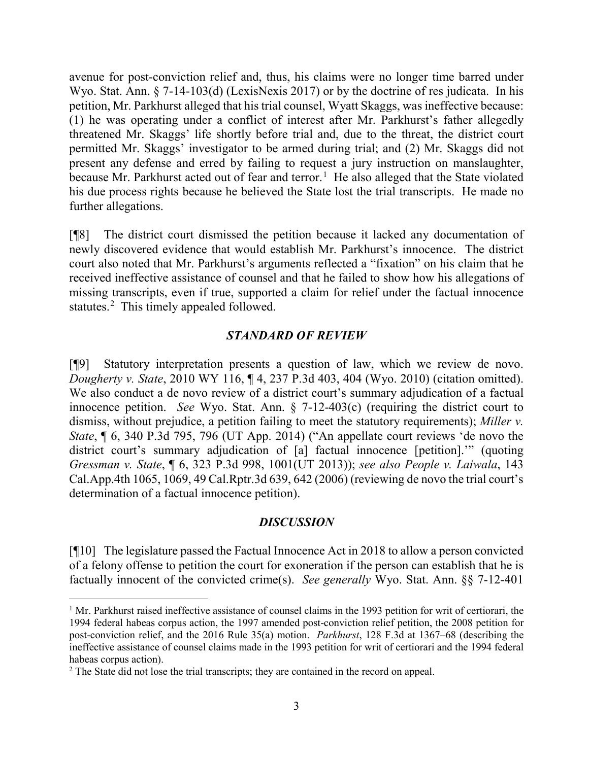avenue for post-conviction relief and, thus, his claims were no longer time barred under Wyo. Stat. Ann. § 7-14-103(d) (LexisNexis 2017) or by the doctrine of res judicata. In his petition, Mr. Parkhurst alleged that his trial counsel, Wyatt Skaggs, was ineffective because: (1) he was operating under a conflict of interest after Mr. Parkhurst's father allegedly threatened Mr. Skaggs' life shortly before trial and, due to the threat, the district court permitted Mr. Skaggs' investigator to be armed during trial; and (2) Mr. Skaggs did not present any defense and erred by failing to request a jury instruction on manslaughter, because Mr. Parkhurst acted out of fear and terror.<sup>[1](#page-3-0)</sup> He also alleged that the State violated his due process rights because he believed the State lost the trial transcripts. He made no further allegations.

[¶8] The district court dismissed the petition because it lacked any documentation of newly discovered evidence that would establish Mr. Parkhurst's innocence. The district court also noted that Mr. Parkhurst's arguments reflected a "fixation" on his claim that he received ineffective assistance of counsel and that he failed to show how his allegations of missing transcripts, even if true, supported a claim for relief under the factual innocence statutes.<sup>[2](#page-3-1)</sup> This timely appealed followed.

## *STANDARD OF REVIEW*

[¶9] Statutory interpretation presents a question of law, which we review de novo. *Dougherty v. State*, 2010 WY 116, ¶ 4, 237 P.3d 403, 404 (Wyo. 2010) (citation omitted). We also conduct a de novo review of a district court's summary adjudication of a factual innocence petition. *See* Wyo. Stat. Ann. § 7-12-403(c) (requiring the district court to dismiss, without prejudice, a petition failing to meet the statutory requirements); *Miller v. State*, ¶ 6, 340 P.3d 795, 796 (UT App. 2014) ("An appellate court reviews 'de novo the district court's summary adjudication of [a] factual innocence [petition].'" (quoting *Gressman v. State*, ¶ 6, 323 P.3d 998, 1001(UT 2013)); *see also People v. Laiwala*, 143 Cal.App.4th 1065, 1069, 49 Cal.Rptr.3d 639, 642 (2006) (reviewing de novo the trial court's determination of a factual innocence petition).

## *DISCUSSION*

[¶10] The legislature passed the Factual Innocence Act in 2018 to allow a person convicted of a felony offense to petition the court for exoneration if the person can establish that he is factually innocent of the convicted crime(s). *See generally* Wyo. Stat. Ann. §§ 7-12-401

<span id="page-3-0"></span><sup>&</sup>lt;sup>1</sup> Mr. Parkhurst raised ineffective assistance of counsel claims in the 1993 petition for writ of certiorari, the 1994 federal habeas corpus action, the 1997 amended post-conviction relief petition, the 2008 petition for post-conviction relief, and the 2016 Rule 35(a) motion. *Parkhurst*, 128 F.3d at 1367–68 (describing the ineffective assistance of counsel claims made in the 1993 petition for writ of certiorari and the 1994 federal habeas corpus action).

<span id="page-3-1"></span><sup>&</sup>lt;sup>2</sup> The State did not lose the trial transcripts; they are contained in the record on appeal.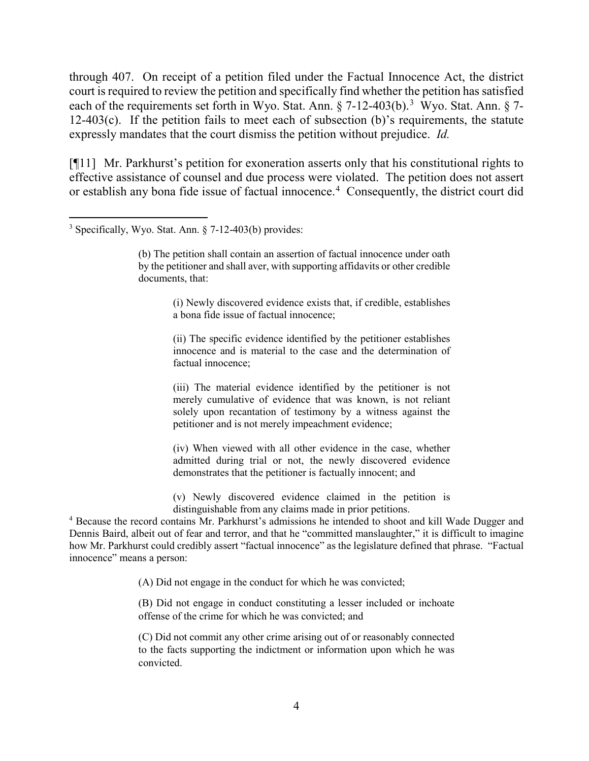through 407. On receipt of a petition filed under the Factual Innocence Act, the district court is required to review the petition and specifically find whether the petition has satisfied each of the requirements set forth in Wyo. Stat. Ann. § 7-12-40[3](#page-4-0)(b).<sup>3</sup> Wyo. Stat. Ann. § 7-12-403(c). If the petition fails to meet each of subsection (b)'s requirements, the statute expressly mandates that the court dismiss the petition without prejudice. *Id.*

[¶11] Mr. Parkhurst's petition for exoneration asserts only that his constitutional rights to effective assistance of counsel and due process were violated. The petition does not assert or establish any bona fide issue of factual innocence. [4](#page-4-1) Consequently, the district court did

(i) Newly discovered evidence exists that, if credible, establishes a bona fide issue of factual innocence;

(ii) The specific evidence identified by the petitioner establishes innocence and is material to the case and the determination of factual innocence;

(iii) The material evidence identified by the petitioner is not merely cumulative of evidence that was known, is not reliant solely upon recantation of testimony by a witness against the petitioner and is not merely impeachment evidence;

(iv) When viewed with all other evidence in the case, whether admitted during trial or not, the newly discovered evidence demonstrates that the petitioner is factually innocent; and

(v) Newly discovered evidence claimed in the petition is distinguishable from any claims made in prior petitions.

<span id="page-4-1"></span><sup>4</sup> Because the record contains Mr. Parkhurst's admissions he intended to shoot and kill Wade Dugger and Dennis Baird, albeit out of fear and terror, and that he "committed manslaughter," it is difficult to imagine how Mr. Parkhurst could credibly assert "factual innocence" as the legislature defined that phrase. "Factual innocence" means a person:

(A) Did not engage in the conduct for which he was convicted;

(B) Did not engage in conduct constituting a lesser included or inchoate offense of the crime for which he was convicted; and

(C) Did not commit any other crime arising out of or reasonably connected to the facts supporting the indictment or information upon which he was convicted.

<span id="page-4-0"></span> <sup>3</sup> Specifically, Wyo. Stat. Ann. § 7-12-403(b) provides:

<sup>(</sup>b) The petition shall contain an assertion of factual innocence under oath by the petitioner and shall aver, with supporting affidavits or other credible documents, that: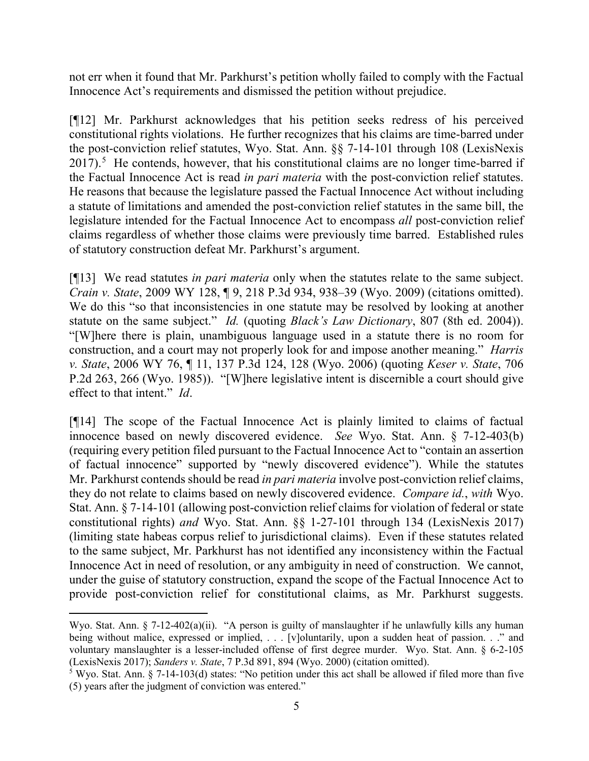not err when it found that Mr. Parkhurst's petition wholly failed to comply with the Factual Innocence Act's requirements and dismissed the petition without prejudice.

[¶12] Mr. Parkhurst acknowledges that his petition seeks redress of his perceived constitutional rights violations. He further recognizes that his claims are time-barred under the post-conviction relief statutes, Wyo. Stat. Ann. §§ 7-14-101 through 108 (LexisNexis 2017).<sup>[5](#page-5-0)</sup> He contends, however, that his constitutional claims are no longer time-barred if the Factual Innocence Act is read *in pari materia* with the post-conviction relief statutes. He reasons that because the legislature passed the Factual Innocence Act without including a statute of limitations and amended the post-conviction relief statutes in the same bill, the legislature intended for the Factual Innocence Act to encompass *all* post-conviction relief claims regardless of whether those claims were previously time barred. Established rules of statutory construction defeat Mr. Parkhurst's argument.

[¶13] We read statutes *in pari materia* only when the statutes relate to the same subject. *Crain v. State*, 2009 WY 128, ¶ 9, 218 P.3d 934, 938–39 (Wyo. 2009) (citations omitted). We do this "so that inconsistencies in one statute may be resolved by looking at another statute on the same subject." *Id.* (quoting *Black's Law Dictionary*, 807 (8th ed. 2004)). "[W]here there is plain, unambiguous language used in a statute there is no room for construction, and a court may not properly look for and impose another meaning." *Harris v. State*, 2006 WY 76, ¶ 11, 137 P.3d 124, 128 (Wyo. 2006) (quoting *Keser v. State*, 706 P.2d 263, 266 (Wyo. 1985)). "[W]here legislative intent is discernible a court should give effect to that intent." *Id*.

[¶14] The scope of the Factual Innocence Act is plainly limited to claims of factual innocence based on newly discovered evidence. *See* Wyo. Stat. Ann. § 7-12-403(b) (requiring every petition filed pursuant to the Factual Innocence Act to "contain an assertion of factual innocence" supported by "newly discovered evidence"). While the statutes Mr. Parkhurst contends should be read *in pari materia* involve post-conviction relief claims, they do not relate to claims based on newly discovered evidence. *Compare id.*, *with* Wyo. Stat. Ann. § 7-14-101 (allowing post-conviction relief claims for violation of federal or state constitutional rights) *and* Wyo. Stat. Ann. §§ 1-27-101 through 134 (LexisNexis 2017) (limiting state habeas corpus relief to jurisdictional claims). Even if these statutes related to the same subject, Mr. Parkhurst has not identified any inconsistency within the Factual Innocence Act in need of resolution, or any ambiguity in need of construction. We cannot, under the guise of statutory construction, expand the scope of the Factual Innocence Act to provide post-conviction relief for constitutional claims, as Mr. Parkhurst suggests.

 $\overline{a}$ Wyo. Stat. Ann. § 7-12-402(a)(ii). "A person is guilty of manslaughter if he unlawfully kills any human being without malice, expressed or implied, . . . [v]oluntarily, upon a sudden heat of passion. . ." and voluntary manslaughter is a lesser-included offense of first degree murder. Wyo. Stat. Ann. § 6-2-105 (LexisNexis 2017); *Sanders v. State*, 7 P.3d 891, 894 (Wyo. 2000) (citation omitted).

<span id="page-5-0"></span> $5$  Wyo. Stat. Ann.  $\S$  7-14-103(d) states: "No petition under this act shall be allowed if filed more than five (5) years after the judgment of conviction was entered."